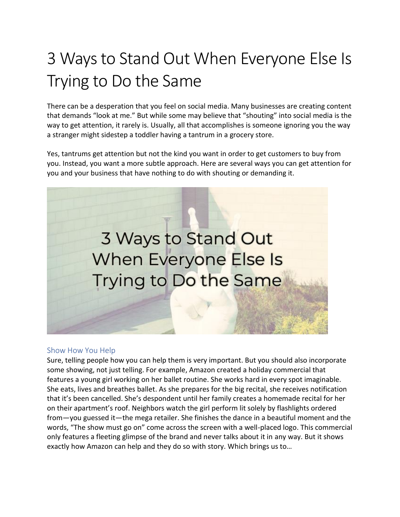## 3 Ways to Stand Out When Everyone Else Is Trying to Do the Same

There can be a desperation that you feel on social media. Many businesses are creating content that demands "look at me." But while some may believe that "shouting" into social media is the way to get attention, it rarely is. Usually, all that accomplishes is someone ignoring you the way a stranger might sidestep a toddler having a tantrum in a grocery store.

Yes, tantrums get attention but not the kind you want in order to get customers to buy from you. Instead, you want a more subtle approach. Here are several ways you can get attention for you and your business that have nothing to do with shouting or demanding it.



## Show How You Help

Sure, telling people how you can help them is very important. But you should also incorporate some showing, not just telling. For example, Amazon created a holiday commercial that features a young girl working on her ballet routine. She works hard in every spot imaginable. She eats, lives and breathes ballet. As she prepares for the big recital, she receives notification that it's been cancelled. She's despondent until her family creates a homemade recital for her on their apartment's roof. Neighbors watch the girl perform lit solely by flashlights ordered from—you guessed it—the mega retailer. She finishes the dance in a beautiful moment and the words, "The show must go on" come across the screen with a well-placed logo. This commercial only features a fleeting glimpse of the brand and never talks about it in any way. But it shows exactly how Amazon can help and they do so with story. Which brings us to…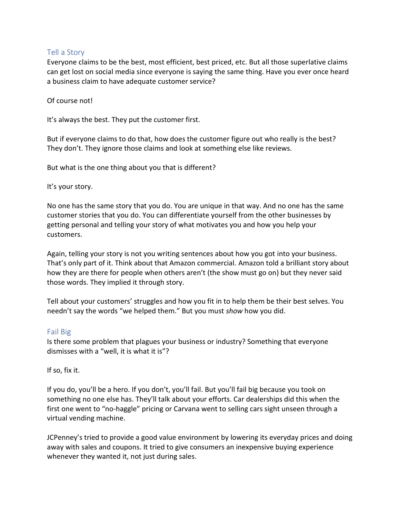## Tell a Story

Everyone claims to be the best, most efficient, best priced, etc. But all those superlative claims can get lost on social media since everyone is saying the same thing. Have you ever once heard a business claim to have adequate customer service?

Of course not!

It's always the best. They put the customer first.

But if everyone claims to do that, how does the customer figure out who really is the best? They don't. They ignore those claims and look at something else like reviews.

But what is the one thing about you that is different?

It's your story.

No one has the same story that you do. You are unique in that way. And no one has the same customer stories that you do. You can differentiate yourself from the other businesses by getting personal and telling your story of what motivates you and how you help your customers.

Again, telling your story is not you writing sentences about how you got into your business. That's only part of it. Think about that Amazon commercial. Amazon told a brilliant story about how they are there for people when others aren't (the show must go on) but they never said those words. They implied it through story.

Tell about your customers' struggles and how you fit in to help them be their best selves. You needn't say the words "we helped them." But you must *show* how you did.

## Fail Big

Is there some problem that plagues your business or industry? Something that everyone dismisses with a "well, it is what it is"?

If so, fix it.

If you do, you'll be a hero. If you don't, you'll fail. But you'll fail big because you took on something no one else has. They'll talk about your efforts. Car dealerships did this when the first one went to "no-haggle" pricing or Carvana went to selling cars sight unseen through a virtual vending machine.

JCPenney's tried to provide a good value environment by lowering its everyday prices and doing away with sales and coupons. It tried to give consumers an inexpensive buying experience whenever they wanted it, not just during sales.